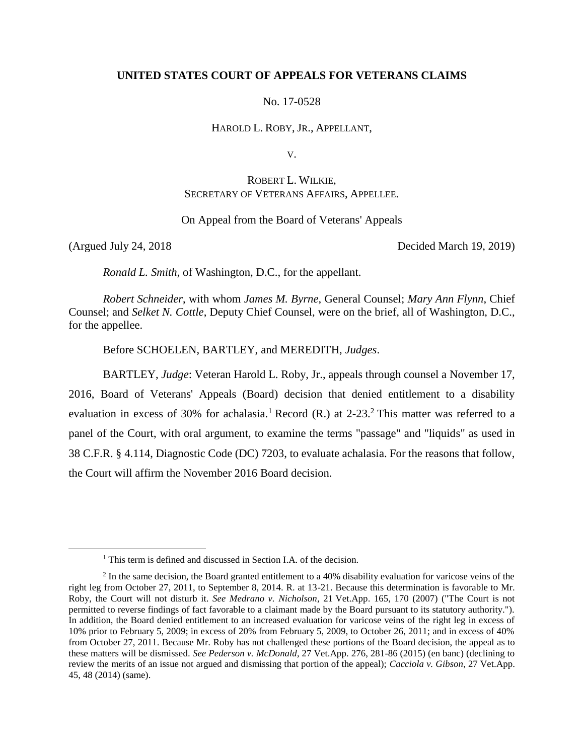### **UNITED STATES COURT OF APPEALS FOR VETERANS CLAIMS**

No. 17-0528

HAROLD L. ROBY, JR., APPELLANT,

V.

# ROBERT L. WILKIE, SECRETARY OF VETERANS AFFAIRS, APPELLEE.

On Appeal from the Board of Veterans' Appeals

 $\overline{a}$ 

(Argued July 24, 2018 Decided March 19, 2019)

*Ronald L. Smith*, of Washington, D.C., for the appellant.

*Robert Schneider*, with whom *James M. Byrne*, General Counsel; *Mary Ann Flynn*, Chief Counsel; and *Selket N. Cottle*, Deputy Chief Counsel, were on the brief, all of Washington, D.C., for the appellee.

Before SCHOELEN, BARTLEY, and MEREDITH, *Judges*.

BARTLEY, *Judge*: Veteran Harold L. Roby, Jr., appeals through counsel a November 17, 2016, Board of Veterans' Appeals (Board) decision that denied entitlement to a disability evaluation in excess of 30% for achalasia.<sup>1</sup> Record (R.) at  $2-23$ .<sup>2</sup> This matter was referred to a panel of the Court, with oral argument, to examine the terms "passage" and "liquids" as used in 38 C.F.R. § 4.114, Diagnostic Code (DC) 7203, to evaluate achalasia. For the reasons that follow, the Court will affirm the November 2016 Board decision.

<sup>&</sup>lt;sup>1</sup> This term is defined and discussed in Section I.A. of the decision.

 $<sup>2</sup>$  In the same decision, the Board granted entitlement to a 40% disability evaluation for varicose veins of the</sup> right leg from October 27, 2011, to September 8, 2014. R. at 13-21. Because this determination is favorable to Mr. Roby, the Court will not disturb it. *See Medrano v. Nicholson*, 21 Vet.App. 165, 170 (2007) ("The Court is not permitted to reverse findings of fact favorable to a claimant made by the Board pursuant to its statutory authority."). In addition, the Board denied entitlement to an increased evaluation for varicose veins of the right leg in excess of 10% prior to February 5, 2009; in excess of 20% from February 5, 2009, to October 26, 2011; and in excess of 40% from October 27, 2011. Because Mr. Roby has not challenged these portions of the Board decision, the appeal as to these matters will be dismissed. *See Pederson v. McDonald*, 27 Vet.App. 276, 281-86 (2015) (en banc) (declining to review the merits of an issue not argued and dismissing that portion of the appeal); *Cacciola v. Gibson*, 27 Vet.App. 45, 48 (2014) (same).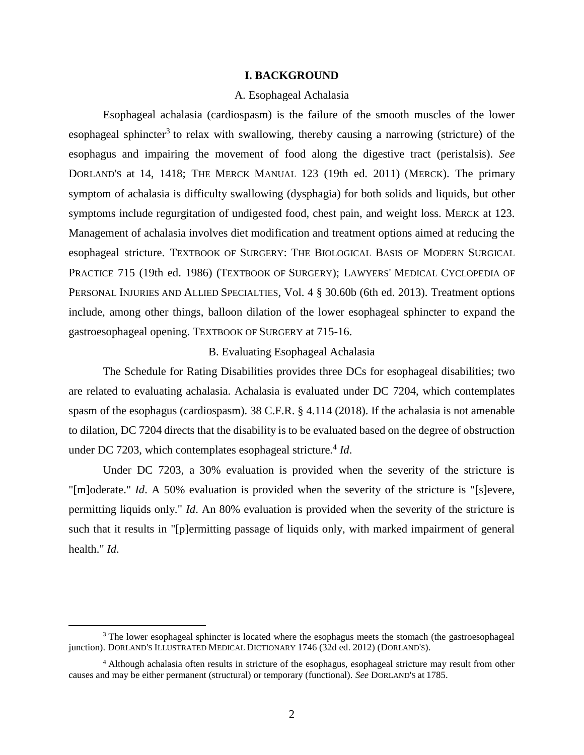### **I. BACKGROUND**

### A. Esophageal Achalasia

Esophageal achalasia (cardiospasm) is the failure of the smooth muscles of the lower esophageal sphincter<sup>3</sup> to relax with swallowing, thereby causing a narrowing (stricture) of the esophagus and impairing the movement of food along the digestive tract (peristalsis). *See* DORLAND'S at 14, 1418; THE MERCK MANUAL 123 (19th ed. 2011) (MERCK). The primary symptom of achalasia is difficulty swallowing (dysphagia) for both solids and liquids, but other symptoms include regurgitation of undigested food, chest pain, and weight loss. MERCK at 123. Management of achalasia involves diet modification and treatment options aimed at reducing the esophageal stricture. TEXTBOOK OF SURGERY: THE BIOLOGICAL BASIS OF MODERN SURGICAL PRACTICE 715 (19th ed. 1986) (TEXTBOOK OF SURGERY); LAWYERS' MEDICAL CYCLOPEDIA OF PERSONAL INJURIES AND ALLIED SPECIALTIES, Vol. 4 § 30.60b (6th ed. 2013). Treatment options include, among other things, balloon dilation of the lower esophageal sphincter to expand the gastroesophageal opening. TEXTBOOK OF SURGERY at 715-16.

## B. Evaluating Esophageal Achalasia

The Schedule for Rating Disabilities provides three DCs for esophageal disabilities; two are related to evaluating achalasia. Achalasia is evaluated under DC 7204, which contemplates spasm of the esophagus (cardiospasm). 38 C.F.R. § 4.114 (2018). If the achalasia is not amenable to dilation, DC 7204 directs that the disability is to be evaluated based on the degree of obstruction under DC 7203, which contemplates esophageal stricture.<sup>4</sup> Id.

Under DC 7203, a 30% evaluation is provided when the severity of the stricture is "[m]oderate." *Id*. A 50% evaluation is provided when the severity of the stricture is "[s]evere, permitting liquids only." *Id*. An 80% evaluation is provided when the severity of the stricture is such that it results in "[p]ermitting passage of liquids only, with marked impairment of general health." *Id*.

<sup>&</sup>lt;sup>3</sup> The lower esophageal sphincter is located where the esophagus meets the stomach (the gastroesophageal junction). DORLAND'S ILLUSTRATED MEDICAL DICTIONARY 1746 (32d ed. 2012) (DORLAND'S).

<sup>4</sup> Although achalasia often results in stricture of the esophagus, esophageal stricture may result from other causes and may be either permanent (structural) or temporary (functional). *See* DORLAND'S at 1785.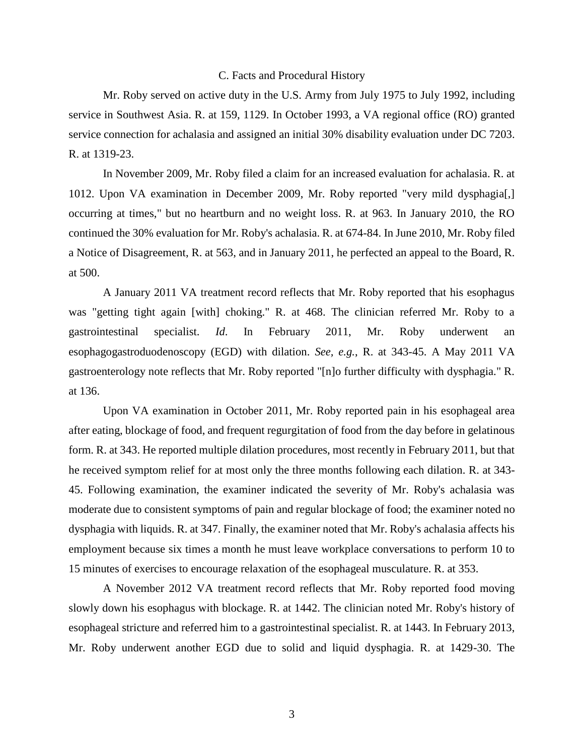### C. Facts and Procedural History

Mr. Roby served on active duty in the U.S. Army from July 1975 to July 1992, including service in Southwest Asia. R. at 159, 1129. In October 1993, a VA regional office (RO) granted service connection for achalasia and assigned an initial 30% disability evaluation under DC 7203. R. at 1319-23.

In November 2009, Mr. Roby filed a claim for an increased evaluation for achalasia. R. at 1012. Upon VA examination in December 2009, Mr. Roby reported "very mild dysphagia[,] occurring at times," but no heartburn and no weight loss. R. at 963. In January 2010, the RO continued the 30% evaluation for Mr. Roby's achalasia. R. at 674-84. In June 2010, Mr. Roby filed a Notice of Disagreement, R. at 563, and in January 2011, he perfected an appeal to the Board, R. at 500.

A January 2011 VA treatment record reflects that Mr. Roby reported that his esophagus was "getting tight again [with] choking." R. at 468. The clinician referred Mr. Roby to a gastrointestinal specialist. *Id*. In February 2011, Mr. Roby underwent an esophagogastroduodenoscopy (EGD) with dilation. *See, e.g.*, R. at 343-45. A May 2011 VA gastroenterology note reflects that Mr. Roby reported "[n]o further difficulty with dysphagia." R. at 136.

Upon VA examination in October 2011, Mr. Roby reported pain in his esophageal area after eating, blockage of food, and frequent regurgitation of food from the day before in gelatinous form. R. at 343. He reported multiple dilation procedures, most recently in February 2011, but that he received symptom relief for at most only the three months following each dilation. R. at 343- 45. Following examination, the examiner indicated the severity of Mr. Roby's achalasia was moderate due to consistent symptoms of pain and regular blockage of food; the examiner noted no dysphagia with liquids. R. at 347. Finally, the examiner noted that Mr. Roby's achalasia affects his employment because six times a month he must leave workplace conversations to perform 10 to 15 minutes of exercises to encourage relaxation of the esophageal musculature. R. at 353.

A November 2012 VA treatment record reflects that Mr. Roby reported food moving slowly down his esophagus with blockage. R. at 1442. The clinician noted Mr. Roby's history of esophageal stricture and referred him to a gastrointestinal specialist. R. at 1443. In February 2013, Mr. Roby underwent another EGD due to solid and liquid dysphagia. R. at 1429-30. The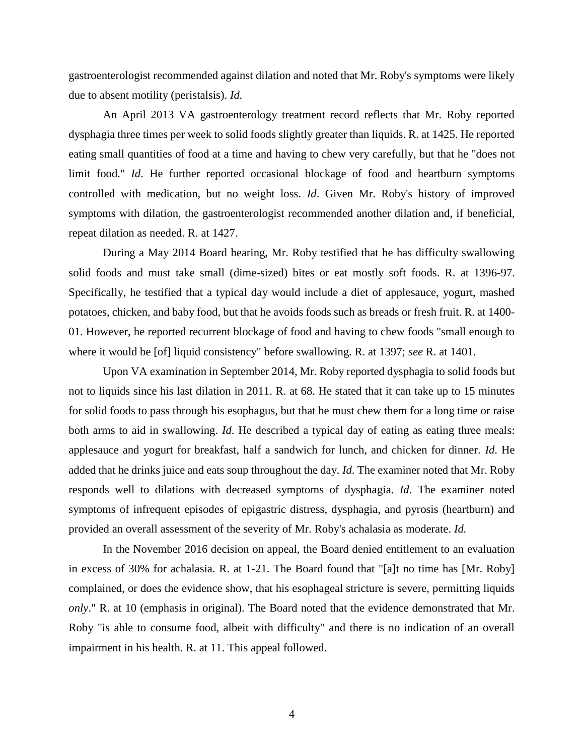gastroenterologist recommended against dilation and noted that Mr. Roby's symptoms were likely due to absent motility (peristalsis). *Id.*

An April 2013 VA gastroenterology treatment record reflects that Mr. Roby reported dysphagia three times per week to solid foods slightly greater than liquids. R. at 1425. He reported eating small quantities of food at a time and having to chew very carefully, but that he "does not limit food." *Id*. He further reported occasional blockage of food and heartburn symptoms controlled with medication, but no weight loss. *Id*. Given Mr. Roby's history of improved symptoms with dilation, the gastroenterologist recommended another dilation and, if beneficial, repeat dilation as needed. R. at 1427.

During a May 2014 Board hearing, Mr. Roby testified that he has difficulty swallowing solid foods and must take small (dime-sized) bites or eat mostly soft foods. R. at 1396-97. Specifically, he testified that a typical day would include a diet of applesauce, yogurt, mashed potatoes, chicken, and baby food, but that he avoids foods such as breads or fresh fruit. R. at 1400- 01. However, he reported recurrent blockage of food and having to chew foods "small enough to where it would be [of] liquid consistency" before swallowing. R. at 1397; *see* R. at 1401.

Upon VA examination in September 2014, Mr. Roby reported dysphagia to solid foods but not to liquids since his last dilation in 2011. R. at 68. He stated that it can take up to 15 minutes for solid foods to pass through his esophagus, but that he must chew them for a long time or raise both arms to aid in swallowing. *Id*. He described a typical day of eating as eating three meals: applesauce and yogurt for breakfast, half a sandwich for lunch, and chicken for dinner. *Id*. He added that he drinks juice and eats soup throughout the day. *Id*. The examiner noted that Mr. Roby responds well to dilations with decreased symptoms of dysphagia. *Id*. The examiner noted symptoms of infrequent episodes of epigastric distress, dysphagia, and pyrosis (heartburn) and provided an overall assessment of the severity of Mr. Roby's achalasia as moderate. *Id.*

In the November 2016 decision on appeal, the Board denied entitlement to an evaluation in excess of 30% for achalasia. R. at 1-21. The Board found that "[a]t no time has [Mr. Roby] complained, or does the evidence show, that his esophageal stricture is severe, permitting liquids *only*." R. at 10 (emphasis in original). The Board noted that the evidence demonstrated that Mr. Roby "is able to consume food, albeit with difficulty" and there is no indication of an overall impairment in his health. R. at 11. This appeal followed.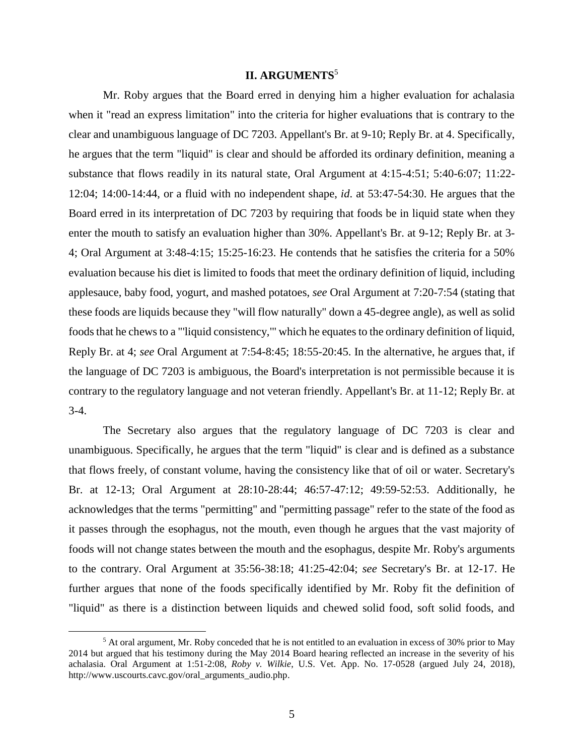# **II. ARGUMENTS**<sup>5</sup>

Mr. Roby argues that the Board erred in denying him a higher evaluation for achalasia when it "read an express limitation" into the criteria for higher evaluations that is contrary to the clear and unambiguous language of DC 7203. Appellant's Br. at 9-10; Reply Br. at 4. Specifically, he argues that the term "liquid" is clear and should be afforded its ordinary definition, meaning a substance that flows readily in its natural state, Oral Argument at 4:15-4:51; 5:40-6:07; 11:22- 12:04; 14:00-14:44, or a fluid with no independent shape, *id*. at 53:47-54:30. He argues that the Board erred in its interpretation of DC 7203 by requiring that foods be in liquid state when they enter the mouth to satisfy an evaluation higher than 30%. Appellant's Br. at 9-12; Reply Br. at 3- 4; Oral Argument at 3:48-4:15; 15:25-16:23. He contends that he satisfies the criteria for a 50% evaluation because his diet is limited to foods that meet the ordinary definition of liquid, including applesauce, baby food, yogurt, and mashed potatoes, *see* Oral Argument at 7:20-7:54 (stating that these foods are liquids because they "will flow naturally" down a 45-degree angle), as well as solid foods that he chews to a "'liquid consistency,'" which he equates to the ordinary definition of liquid, Reply Br. at 4; *see* Oral Argument at 7:54-8:45; 18:55-20:45. In the alternative, he argues that, if the language of DC 7203 is ambiguous, the Board's interpretation is not permissible because it is contrary to the regulatory language and not veteran friendly. Appellant's Br. at 11-12; Reply Br. at 3-4.

The Secretary also argues that the regulatory language of DC 7203 is clear and unambiguous. Specifically, he argues that the term "liquid" is clear and is defined as a substance that flows freely, of constant volume, having the consistency like that of oil or water. Secretary's Br. at 12-13; Oral Argument at 28:10-28:44; 46:57-47:12; 49:59-52:53. Additionally, he acknowledges that the terms "permitting" and "permitting passage" refer to the state of the food as it passes through the esophagus, not the mouth, even though he argues that the vast majority of foods will not change states between the mouth and the esophagus, despite Mr. Roby's arguments to the contrary. Oral Argument at 35:56-38:18; 41:25-42:04; *see* Secretary's Br. at 12-17. He further argues that none of the foods specifically identified by Mr. Roby fit the definition of "liquid" as there is a distinction between liquids and chewed solid food, soft solid foods, and

<sup>&</sup>lt;sup>5</sup> At oral argument, Mr. Roby conceded that he is not entitled to an evaluation in excess of 30% prior to May 2014 but argued that his testimony during the May 2014 Board hearing reflected an increase in the severity of his achalasia. Oral Argument at 1:51-2:08, *Roby v. Wilkie*, U.S. Vet. App. No. 17-0528 (argued July 24, 2018), http://www.uscourts.cavc.gov/oral\_arguments\_audio.php.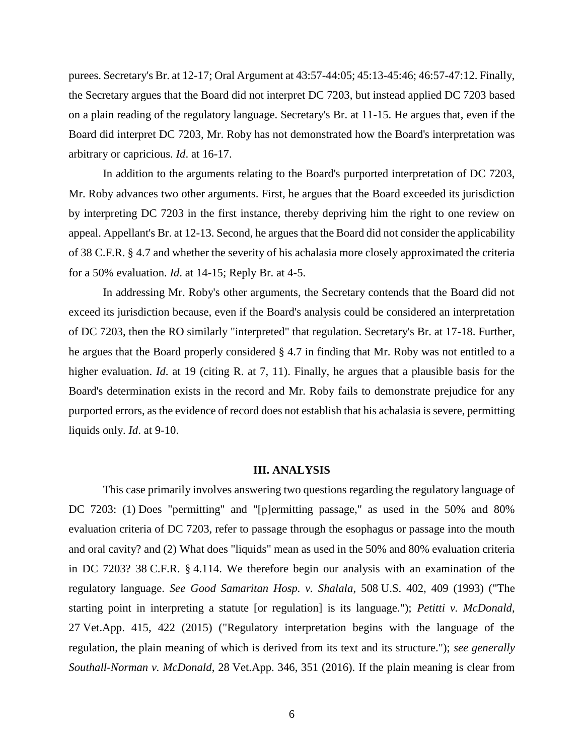purees. Secretary's Br. at 12-17; Oral Argument at 43:57-44:05; 45:13-45:46; 46:57-47:12. Finally, the Secretary argues that the Board did not interpret DC 7203, but instead applied DC 7203 based on a plain reading of the regulatory language. Secretary's Br. at 11-15. He argues that, even if the Board did interpret DC 7203, Mr. Roby has not demonstrated how the Board's interpretation was arbitrary or capricious. *Id*. at 16-17.

In addition to the arguments relating to the Board's purported interpretation of DC 7203, Mr. Roby advances two other arguments. First, he argues that the Board exceeded its jurisdiction by interpreting DC 7203 in the first instance, thereby depriving him the right to one review on appeal. Appellant's Br. at 12-13. Second, he argues that the Board did not consider the applicability of 38 C.F.R. § 4.7 and whether the severity of his achalasia more closely approximated the criteria for a 50% evaluation. *Id*. at 14-15; Reply Br. at 4-5.

In addressing Mr. Roby's other arguments, the Secretary contends that the Board did not exceed its jurisdiction because, even if the Board's analysis could be considered an interpretation of DC 7203, then the RO similarly "interpreted" that regulation. Secretary's Br. at 17-18. Further, he argues that the Board properly considered § 4.7 in finding that Mr. Roby was not entitled to a higher evaluation. *Id*. at 19 (citing R. at 7, 11). Finally, he argues that a plausible basis for the Board's determination exists in the record and Mr. Roby fails to demonstrate prejudice for any purported errors, as the evidence of record does not establish that his achalasia is severe, permitting liquids only. *Id*. at 9-10.

#### **III. ANALYSIS**

This case primarily involves answering two questions regarding the regulatory language of DC 7203: (1) Does "permitting" and "[p]ermitting passage," as used in the 50% and 80% evaluation criteria of DC 7203, refer to passage through the esophagus or passage into the mouth and oral cavity? and (2) What does "liquids" mean as used in the 50% and 80% evaluation criteria in DC 7203? 38 C.F.R. § 4.114. We therefore begin our analysis with an examination of the regulatory language. *See Good Samaritan Hosp. v. Shalala*, 508 U.S. 402, 409 (1993) ("The starting point in interpreting a statute [or regulation] is its language."); *Petitti v. McDonald*, 27 Vet.App. 415, 422 (2015) ("Regulatory interpretation begins with the language of the regulation, the plain meaning of which is derived from its text and its structure."); *see generally Southall-Norman v. McDonald*, 28 Vet.App. 346, 351 (2016). If the plain meaning is clear from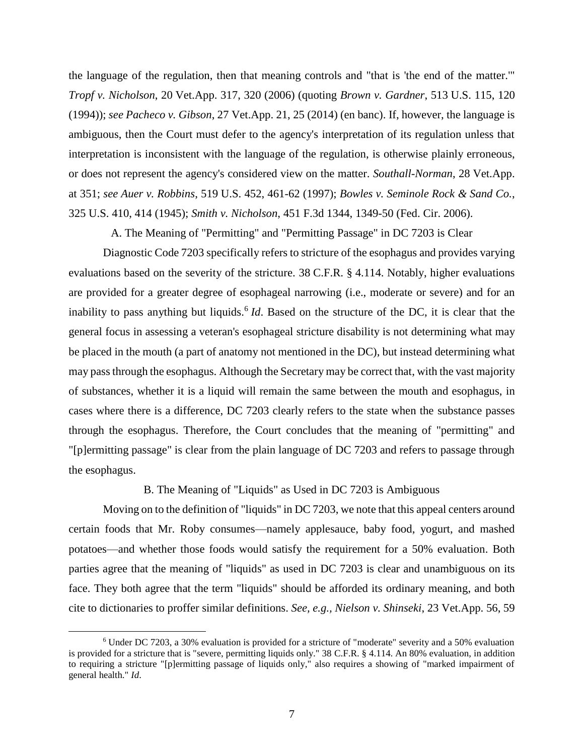the language of the regulation, then that meaning controls and "that is 'the end of the matter.'" *Tropf v. Nicholson*, 20 Vet.App. 317, 320 (2006) (quoting *Brown v. Gardner*, 513 U.S. 115, 120 (1994)); *see Pacheco v. Gibson*, 27 Vet.App. 21, 25 (2014) (en banc). If, however, the language is ambiguous, then the Court must defer to the agency's interpretation of its regulation unless that interpretation is inconsistent with the language of the regulation, is otherwise plainly erroneous, or does not represent the agency's considered view on the matter. *Southall-Norman*, 28 Vet.App. at 351; *see Auer v. Robbins*, 519 U.S. 452, 461-62 (1997); *Bowles v. Seminole Rock & Sand Co.*, 325 U.S. 410, 414 (1945); *Smith v. Nicholson*, 451 F.3d 1344, 1349-50 (Fed. Cir. 2006).

A. The Meaning of "Permitting" and "Permitting Passage" in DC 7203 is Clear

Diagnostic Code 7203 specifically refers to stricture of the esophagus and provides varying evaluations based on the severity of the stricture. 38 C.F.R. § 4.114. Notably, higher evaluations are provided for a greater degree of esophageal narrowing (i.e., moderate or severe) and for an inability to pass anything but liquids. 6 *Id*. Based on the structure of the DC, it is clear that the general focus in assessing a veteran's esophageal stricture disability is not determining what may be placed in the mouth (a part of anatomy not mentioned in the DC), but instead determining what may pass through the esophagus. Although the Secretary may be correct that, with the vast majority of substances, whether it is a liquid will remain the same between the mouth and esophagus, in cases where there is a difference, DC 7203 clearly refers to the state when the substance passes through the esophagus. Therefore, the Court concludes that the meaning of "permitting" and "[p]ermitting passage" is clear from the plain language of DC 7203 and refers to passage through the esophagus.

B. The Meaning of "Liquids" as Used in DC 7203 is Ambiguous

Moving on to the definition of "liquids" in DC 7203, we note that this appeal centers around certain foods that Mr. Roby consumes—namely applesauce, baby food, yogurt, and mashed potatoes—and whether those foods would satisfy the requirement for a 50% evaluation. Both parties agree that the meaning of "liquids" as used in DC 7203 is clear and unambiguous on its face. They both agree that the term "liquids" should be afforded its ordinary meaning, and both cite to dictionaries to proffer similar definitions. *See, e.g., Nielson v. Shinseki*, 23 Vet.App. 56, 59

<sup>6</sup> Under DC 7203, a 30% evaluation is provided for a stricture of "moderate" severity and a 50% evaluation is provided for a stricture that is "severe, permitting liquids only." 38 C.F.R. § 4.114. An 80% evaluation, in addition to requiring a stricture "[p]ermitting passage of liquids only," also requires a showing of "marked impairment of general health." *Id*.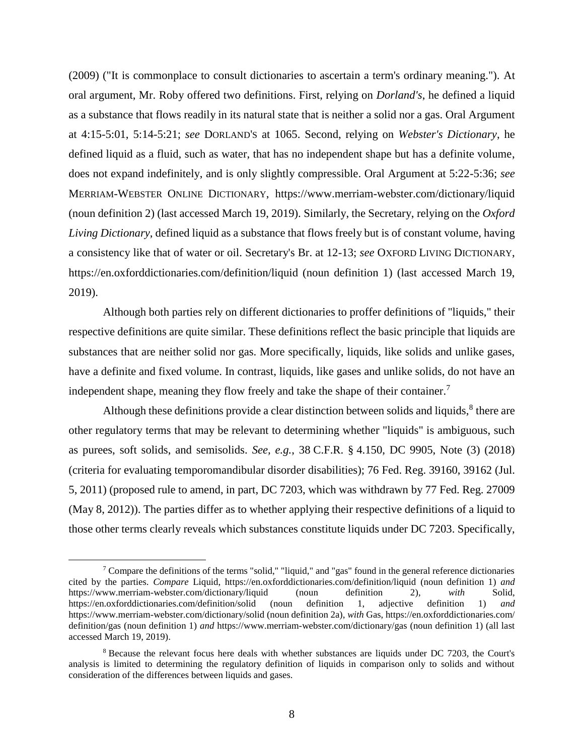(2009) ("It is commonplace to consult dictionaries to ascertain a term's ordinary meaning."). At oral argument, Mr. Roby offered two definitions. First, relying on *Dorland's*, he defined a liquid as a substance that flows readily in its natural state that is neither a solid nor a gas. Oral Argument at 4:15-5:01, 5:14-5:21; *see* DORLAND'S at 1065. Second, relying on *Webster's Dictionary*, he defined liquid as a fluid, such as water, that has no independent shape but has a definite volume, does not expand indefinitely, and is only slightly compressible. Oral Argument at 5:22-5:36; *see* MERRIAM-WEBSTER ONLINE DICTIONARY, https://www.merriam-webster.com/dictionary/liquid (noun definition 2) (last accessed March 19, 2019). Similarly, the Secretary, relying on the *Oxford Living Dictionary*, defined liquid as a substance that flows freely but is of constant volume, having a consistency like that of water or oil. Secretary's Br. at 12-13; *see* OXFORD LIVING DICTIONARY, https://en.oxforddictionaries.com/definition/liquid (noun definition 1) (last accessed March 19, 2019).

Although both parties rely on different dictionaries to proffer definitions of "liquids," their respective definitions are quite similar. These definitions reflect the basic principle that liquids are substances that are neither solid nor gas. More specifically, liquids, like solids and unlike gases, have a definite and fixed volume. In contrast, liquids, like gases and unlike solids, do not have an independent shape, meaning they flow freely and take the shape of their container.<sup>7</sup>

Although these definitions provide a clear distinction between solids and liquids, $\delta$  there are other regulatory terms that may be relevant to determining whether "liquids" is ambiguous, such as purees, soft solids, and semisolids. *See, e.g.*, 38 C.F.R. § 4.150, DC 9905, Note (3) (2018) (criteria for evaluating temporomandibular disorder disabilities); 76 Fed. Reg. 39160, 39162 (Jul. 5, 2011) (proposed rule to amend, in part, DC 7203, which was withdrawn by 77 Fed. Reg. 27009 (May 8, 2012)). The parties differ as to whether applying their respective definitions of a liquid to those other terms clearly reveals which substances constitute liquids under DC 7203. Specifically,

 $^7$  Compare the definitions of the terms "solid," "liquid," and "gas" found in the general reference dictionaries cited by the parties. *Compare* Liquid, https://en.oxforddictionaries.com/definition/liquid (noun definition 1) *and* https://www.merriam-webster.com/dictionary/liquid (noun definition 2), *with* Solid, https://en.oxforddictionaries.com/definition/solid (noun definition 1, adjective definition 1) *and* https://www.merriam-webster.com/dictionary/solid (noun definition 2a), *with* Gas, https://en.oxforddictionaries.com/ definition/gas (noun definition 1) *and* https://www.merriam-webster.com/dictionary/gas (noun definition 1) (all last accessed March 19, 2019).

<sup>8</sup> Because the relevant focus here deals with whether substances are liquids under DC 7203, the Court's analysis is limited to determining the regulatory definition of liquids in comparison only to solids and without consideration of the differences between liquids and gases.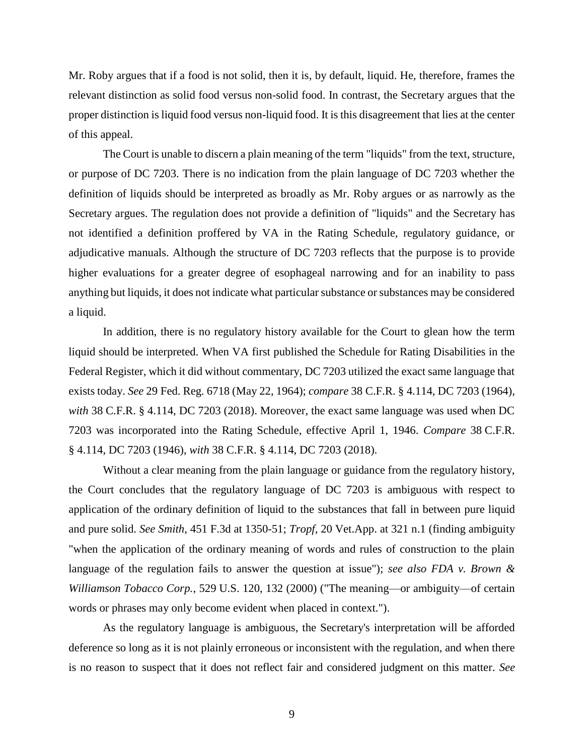Mr. Roby argues that if a food is not solid, then it is, by default, liquid. He, therefore, frames the relevant distinction as solid food versus non-solid food. In contrast, the Secretary argues that the proper distinction is liquid food versus non-liquid food. It is this disagreement that lies at the center of this appeal.

The Court is unable to discern a plain meaning of the term "liquids" from the text, structure, or purpose of DC 7203. There is no indication from the plain language of DC 7203 whether the definition of liquids should be interpreted as broadly as Mr. Roby argues or as narrowly as the Secretary argues. The regulation does not provide a definition of "liquids" and the Secretary has not identified a definition proffered by VA in the Rating Schedule, regulatory guidance, or adjudicative manuals. Although the structure of DC 7203 reflects that the purpose is to provide higher evaluations for a greater degree of esophageal narrowing and for an inability to pass anything but liquids, it does not indicate what particular substance or substances may be considered a liquid.

In addition, there is no regulatory history available for the Court to glean how the term liquid should be interpreted. When VA first published the Schedule for Rating Disabilities in the Federal Register, which it did without commentary, DC 7203 utilized the exact same language that exists today. *See* 29 Fed. Reg. 6718 (May 22, 1964); *compare* 38 C.F.R. § 4.114, DC 7203 (1964), *with* 38 C.F.R. § 4.114, DC 7203 (2018). Moreover, the exact same language was used when DC 7203 was incorporated into the Rating Schedule, effective April 1, 1946. *Compare* 38 C.F.R. § 4.114, DC 7203 (1946), *with* 38 C.F.R. § 4.114, DC 7203 (2018).

Without a clear meaning from the plain language or guidance from the regulatory history, the Court concludes that the regulatory language of DC 7203 is ambiguous with respect to application of the ordinary definition of liquid to the substances that fall in between pure liquid and pure solid. *See Smith*, 451 F.3d at 1350-51; *Tropf*, 20 Vet.App. at 321 n.1 (finding ambiguity "when the application of the ordinary meaning of words and rules of construction to the plain language of the regulation fails to answer the question at issue"); *see also FDA v. Brown & Williamson Tobacco Corp.*, 529 U.S. 120, 132 (2000) ("The meaning—or ambiguity—of certain words or phrases may only become evident when placed in context.").

As the regulatory language is ambiguous, the Secretary's interpretation will be afforded deference so long as it is not plainly erroneous or inconsistent with the regulation, and when there is no reason to suspect that it does not reflect fair and considered judgment on this matter. *See*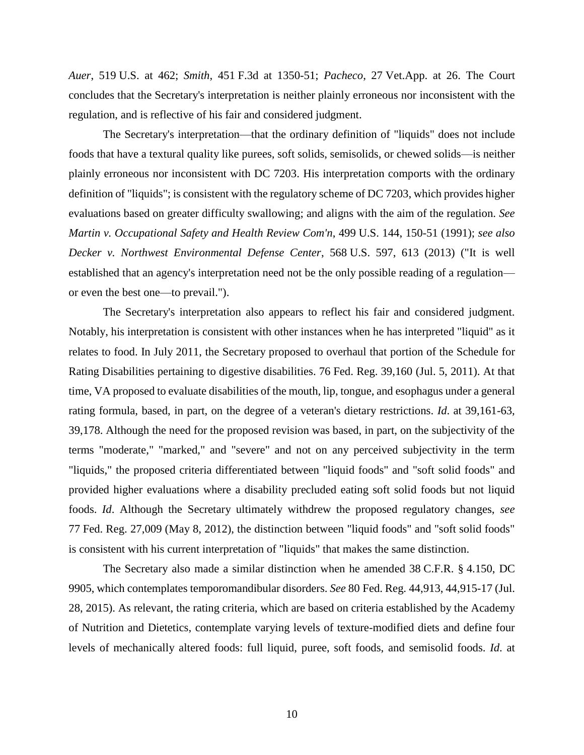*Auer*, 519 U.S. at 462; *Smith*, 451 F.3d at 1350-51; *Pacheco*, 27 Vet.App. at 26. The Court concludes that the Secretary's interpretation is neither plainly erroneous nor inconsistent with the regulation, and is reflective of his fair and considered judgment.

The Secretary's interpretation—that the ordinary definition of "liquids" does not include foods that have a textural quality like purees, soft solids, semisolids, or chewed solids—is neither plainly erroneous nor inconsistent with DC 7203. His interpretation comports with the ordinary definition of "liquids"; is consistent with the regulatory scheme of DC 7203, which provides higher evaluations based on greater difficulty swallowing; and aligns with the aim of the regulation. *See Martin v. Occupational Safety and Health Review Com'n*, 499 U.S. 144, 150-51 (1991); *see also Decker v. Northwest Environmental Defense Center*, 568 U.S. 597, 613 (2013) ("It is well established that an agency's interpretation need not be the only possible reading of a regulation or even the best one—to prevail.").

The Secretary's interpretation also appears to reflect his fair and considered judgment. Notably, his interpretation is consistent with other instances when he has interpreted "liquid" as it relates to food. In July 2011, the Secretary proposed to overhaul that portion of the Schedule for Rating Disabilities pertaining to digestive disabilities. 76 Fed. Reg. 39,160 (Jul. 5, 2011). At that time, VA proposed to evaluate disabilities of the mouth, lip, tongue, and esophagus under a general rating formula, based, in part, on the degree of a veteran's dietary restrictions. *Id*. at 39,161-63, 39,178. Although the need for the proposed revision was based, in part, on the subjectivity of the terms "moderate," "marked," and "severe" and not on any perceived subjectivity in the term "liquids," the proposed criteria differentiated between "liquid foods" and "soft solid foods" and provided higher evaluations where a disability precluded eating soft solid foods but not liquid foods. *Id*. Although the Secretary ultimately withdrew the proposed regulatory changes, *see* 77 Fed. Reg. 27,009 (May 8, 2012), the distinction between "liquid foods" and "soft solid foods" is consistent with his current interpretation of "liquids" that makes the same distinction.

The Secretary also made a similar distinction when he amended 38 C.F.R. § 4.150, DC 9905, which contemplates temporomandibular disorders. *See* 80 Fed. Reg. 44,913, 44,915-17 (Jul. 28, 2015). As relevant, the rating criteria, which are based on criteria established by the Academy of Nutrition and Dietetics, contemplate varying levels of texture-modified diets and define four levels of mechanically altered foods: full liquid, puree, soft foods, and semisolid foods. *Id*. at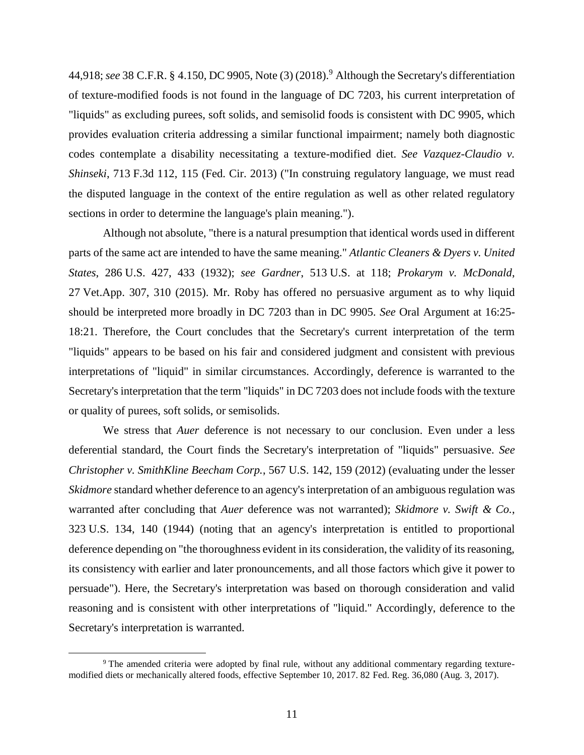44,918; *see* 38 C.F.R. § 4.150, DC 9905, Note (3) (2018). <sup>9</sup> Although the Secretary's differentiation of texture-modified foods is not found in the language of DC 7203, his current interpretation of "liquids" as excluding purees, soft solids, and semisolid foods is consistent with DC 9905, which provides evaluation criteria addressing a similar functional impairment; namely both diagnostic codes contemplate a disability necessitating a texture-modified diet. *See Vazquez-Claudio v. Shinseki*, 713 F.3d 112, 115 (Fed. Cir. 2013) ("In construing regulatory language, we must read the disputed language in the context of the entire regulation as well as other related regulatory sections in order to determine the language's plain meaning.").

Although not absolute, "there is a natural presumption that identical words used in different parts of the same act are intended to have the same meaning." *Atlantic Cleaners & Dyers v. United States*, 286 U.S. 427, 433 (1932); *see Gardner*, 513 U.S. at 118; *Prokarym v. McDonald*, 27 Vet.App. 307, 310 (2015). Mr. Roby has offered no persuasive argument as to why liquid should be interpreted more broadly in DC 7203 than in DC 9905. *See* Oral Argument at 16:25- 18:21. Therefore, the Court concludes that the Secretary's current interpretation of the term "liquids" appears to be based on his fair and considered judgment and consistent with previous interpretations of "liquid" in similar circumstances. Accordingly, deference is warranted to the Secretary's interpretation that the term "liquids" in DC 7203 does not include foods with the texture or quality of purees, soft solids, or semisolids.

We stress that *Auer* deference is not necessary to our conclusion. Even under a less deferential standard, the Court finds the Secretary's interpretation of "liquids" persuasive. *See Christopher v. SmithKline Beecham Corp.*, 567 U.S. 142, 159 (2012) (evaluating under the lesser *Skidmore* standard whether deference to an agency's interpretation of an ambiguous regulation was warranted after concluding that *Auer* deference was not warranted); *Skidmore v. Swift & Co.*, 323 U.S. 134, 140 (1944) (noting that an agency's interpretation is entitled to proportional deference depending on "the thoroughness evident in its consideration, the validity of its reasoning, its consistency with earlier and later pronouncements, and all those factors which give it power to persuade"). Here, the Secretary's interpretation was based on thorough consideration and valid reasoning and is consistent with other interpretations of "liquid." Accordingly, deference to the Secretary's interpretation is warranted.

<sup>9</sup> The amended criteria were adopted by final rule, without any additional commentary regarding texturemodified diets or mechanically altered foods, effective September 10, 2017. 82 Fed. Reg. 36,080 (Aug. 3, 2017).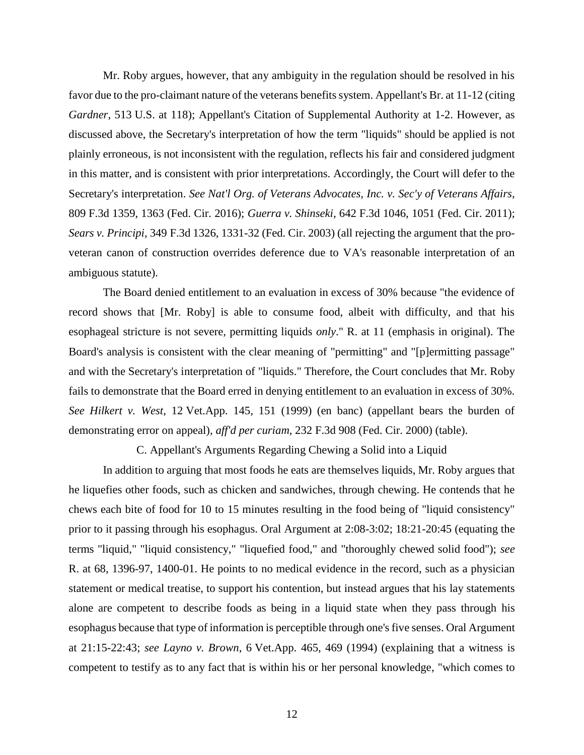Mr. Roby argues, however, that any ambiguity in the regulation should be resolved in his favor due to the pro-claimant nature of the veterans benefits system. Appellant's Br. at 11-12 (citing *Gardner*, 513 U.S. at 118); Appellant's Citation of Supplemental Authority at 1-2. However, as discussed above, the Secretary's interpretation of how the term "liquids" should be applied is not plainly erroneous, is not inconsistent with the regulation, reflects his fair and considered judgment in this matter, and is consistent with prior interpretations. Accordingly, the Court will defer to the Secretary's interpretation. *See Nat'l Org. of Veterans Advocates, Inc. v. Sec'y of Veterans Affairs*, 809 F.3d 1359, 1363 (Fed. Cir. 2016); *Guerra v. Shinseki*, 642 F.3d 1046, 1051 (Fed. Cir. 2011); *Sears v. Principi*, 349 F.3d 1326, 1331-32 (Fed. Cir. 2003) (all rejecting the argument that the proveteran canon of construction overrides deference due to VA's reasonable interpretation of an ambiguous statute).

The Board denied entitlement to an evaluation in excess of 30% because "the evidence of record shows that [Mr. Roby] is able to consume food, albeit with difficulty, and that his esophageal stricture is not severe, permitting liquids *only*." R. at 11 (emphasis in original). The Board's analysis is consistent with the clear meaning of "permitting" and "[p]ermitting passage" and with the Secretary's interpretation of "liquids." Therefore, the Court concludes that Mr. Roby fails to demonstrate that the Board erred in denying entitlement to an evaluation in excess of 30%. *See Hilkert v. West*, 12 Vet.App. 145, 151 (1999) (en banc) (appellant bears the burden of demonstrating error on appeal), *aff'd per curiam*, 232 F.3d 908 (Fed. Cir. 2000) (table).

C. Appellant's Arguments Regarding Chewing a Solid into a Liquid

In addition to arguing that most foods he eats are themselves liquids, Mr. Roby argues that he liquefies other foods, such as chicken and sandwiches, through chewing. He contends that he chews each bite of food for 10 to 15 minutes resulting in the food being of "liquid consistency" prior to it passing through his esophagus. Oral Argument at 2:08-3:02; 18:21-20:45 (equating the terms "liquid," "liquid consistency," "liquefied food," and "thoroughly chewed solid food"); *see* R. at 68, 1396-97, 1400-01. He points to no medical evidence in the record, such as a physician statement or medical treatise, to support his contention, but instead argues that his lay statements alone are competent to describe foods as being in a liquid state when they pass through his esophagus because that type of information is perceptible through one's five senses. Oral Argument at 21:15-22:43; *see Layno v. Brown*, 6 Vet.App. 465, 469 (1994) (explaining that a witness is competent to testify as to any fact that is within his or her personal knowledge, "which comes to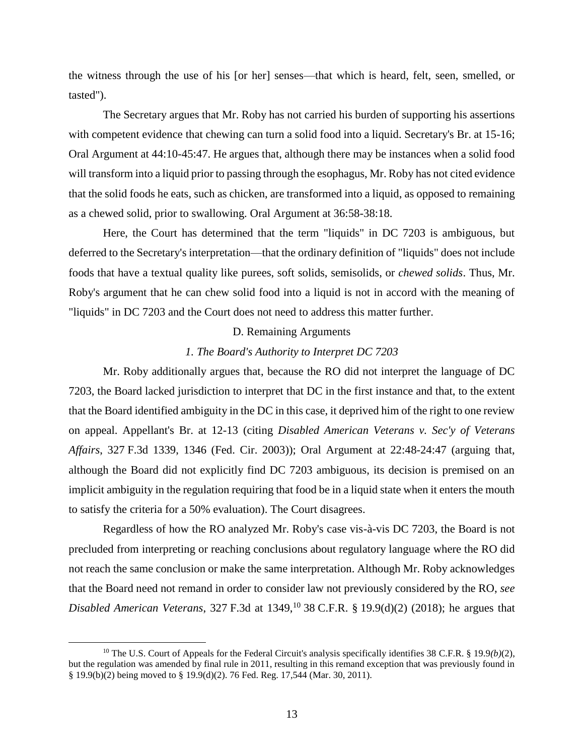the witness through the use of his [or her] senses—that which is heard, felt, seen, smelled, or tasted").

The Secretary argues that Mr. Roby has not carried his burden of supporting his assertions with competent evidence that chewing can turn a solid food into a liquid. Secretary's Br. at 15-16; Oral Argument at 44:10-45:47. He argues that, although there may be instances when a solid food will transform into a liquid prior to passing through the esophagus, Mr. Roby has not cited evidence that the solid foods he eats, such as chicken, are transformed into a liquid, as opposed to remaining as a chewed solid, prior to swallowing. Oral Argument at 36:58-38:18.

Here, the Court has determined that the term "liquids" in DC 7203 is ambiguous, but deferred to the Secretary's interpretation—that the ordinary definition of "liquids" does not include foods that have a textual quality like purees, soft solids, semisolids, or *chewed solids*. Thus, Mr. Roby's argument that he can chew solid food into a liquid is not in accord with the meaning of "liquids" in DC 7203 and the Court does not need to address this matter further.

### D. Remaining Arguments

### *1. The Board's Authority to Interpret DC 7203*

Mr. Roby additionally argues that, because the RO did not interpret the language of DC 7203, the Board lacked jurisdiction to interpret that DC in the first instance and that, to the extent that the Board identified ambiguity in the DC in this case, it deprived him of the right to one review on appeal. Appellant's Br. at 12-13 (citing *Disabled American Veterans v. Sec'y of Veterans Affairs*, 327 F.3d 1339, 1346 (Fed. Cir. 2003)); Oral Argument at 22:48-24:47 (arguing that, although the Board did not explicitly find DC 7203 ambiguous, its decision is premised on an implicit ambiguity in the regulation requiring that food be in a liquid state when it enters the mouth to satisfy the criteria for a 50% evaluation). The Court disagrees.

Regardless of how the RO analyzed Mr. Roby's case vis-à-vis DC 7203, the Board is not precluded from interpreting or reaching conclusions about regulatory language where the RO did not reach the same conclusion or make the same interpretation. Although Mr. Roby acknowledges that the Board need not remand in order to consider law not previously considered by the RO, *see Disabled American Veterans*, 327 F.3d at 1349,<sup>10</sup> 38 C.F.R. § 19.9(d)(2) (2018); he argues that

<sup>10</sup> The U.S. Court of Appeals for the Federal Circuit's analysis specifically identifies 38 C.F.R. § 19.9*(b)*(2), but the regulation was amended by final rule in 2011, resulting in this remand exception that was previously found in § 19.9(b)(2) being moved to § 19.9(d)(2). 76 Fed. Reg. 17,544 (Mar. 30, 2011).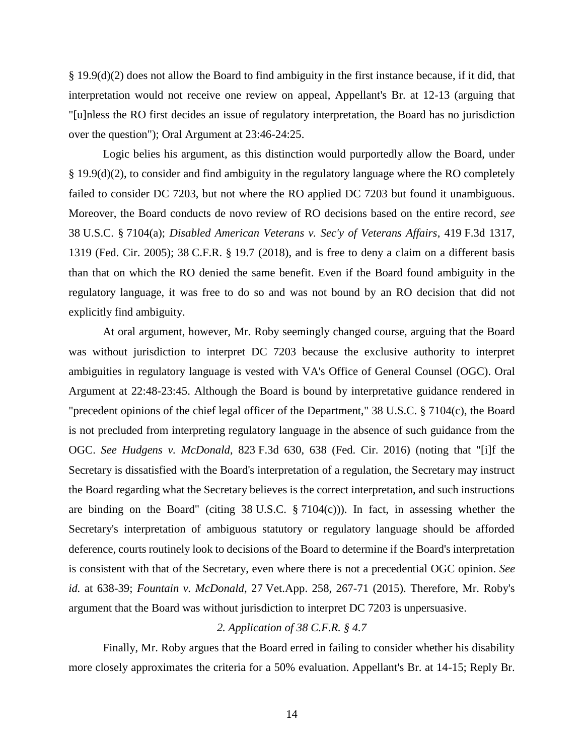§ 19.9(d)(2) does not allow the Board to find ambiguity in the first instance because, if it did, that interpretation would not receive one review on appeal, Appellant's Br. at 12-13 (arguing that "[u]nless the RO first decides an issue of regulatory interpretation, the Board has no jurisdiction over the question"); Oral Argument at 23:46-24:25.

Logic belies his argument, as this distinction would purportedly allow the Board, under § 19.9(d)(2), to consider and find ambiguity in the regulatory language where the RO completely failed to consider DC 7203, but not where the RO applied DC 7203 but found it unambiguous. Moreover, the Board conducts de novo review of RO decisions based on the entire record, *see* 38 U.S.C. § 7104(a); *Disabled American Veterans v. Sec'y of Veterans Affairs*, 419 F.3d 1317, 1319 (Fed. Cir. 2005); 38 C.F.R. § 19.7 (2018), and is free to deny a claim on a different basis than that on which the RO denied the same benefit. Even if the Board found ambiguity in the regulatory language, it was free to do so and was not bound by an RO decision that did not explicitly find ambiguity.

At oral argument, however, Mr. Roby seemingly changed course, arguing that the Board was without jurisdiction to interpret DC 7203 because the exclusive authority to interpret ambiguities in regulatory language is vested with VA's Office of General Counsel (OGC). Oral Argument at 22:48-23:45. Although the Board is bound by interpretative guidance rendered in "precedent opinions of the chief legal officer of the Department," 38 U.S.C. § 7104(c), the Board is not precluded from interpreting regulatory language in the absence of such guidance from the OGC. *See Hudgens v. McDonald*, 823 F.3d 630, 638 (Fed. Cir. 2016) (noting that "[i]f the Secretary is dissatisfied with the Board's interpretation of a regulation, the Secretary may instruct the Board regarding what the Secretary believes is the correct interpretation, and such instructions are binding on the Board" (citing  $38 \text{ U.S.C. }$   $\S 7104(c)$ )). In fact, in assessing whether the Secretary's interpretation of ambiguous statutory or regulatory language should be afforded deference, courts routinely look to decisions of the Board to determine if the Board's interpretation is consistent with that of the Secretary, even where there is not a precedential OGC opinion. *See id.* at 638-39; *Fountain v. McDonald*, 27 Vet.App. 258, 267-71 (2015). Therefore, Mr. Roby's argument that the Board was without jurisdiction to interpret DC 7203 is unpersuasive.

### *2. Application of 38 C.F.R. § 4.7*

Finally, Mr. Roby argues that the Board erred in failing to consider whether his disability more closely approximates the criteria for a 50% evaluation. Appellant's Br. at 14-15; Reply Br.